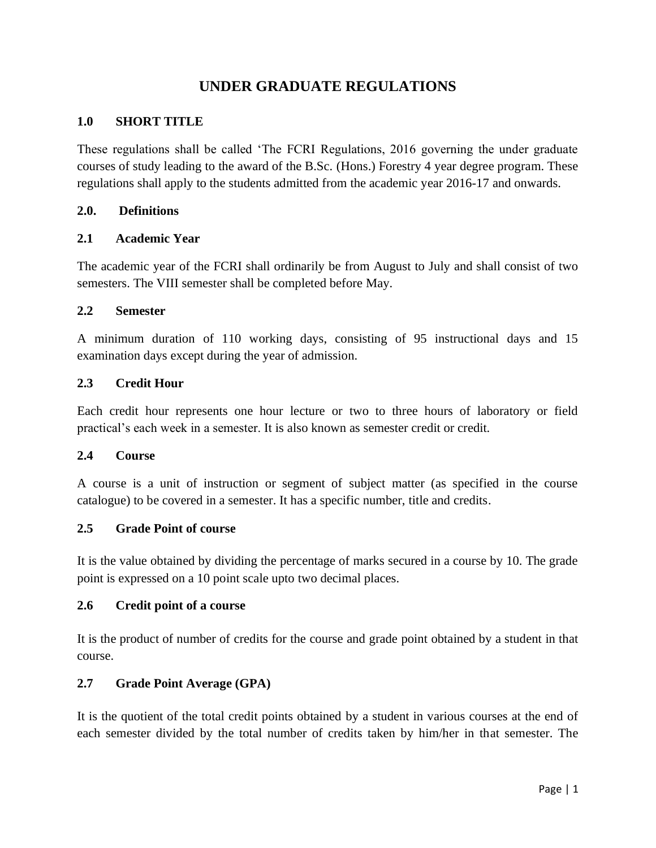# **UNDER GRADUATE REGULATIONS**

### **1.0 SHORT TITLE**

These regulations shall be called 'The FCRI Regulations, 2016 governing the under graduate courses of study leading to the award of the B.Sc. (Hons.) Forestry 4 year degree program. These regulations shall apply to the students admitted from the academic year 2016-17 and onwards.

#### **2.0. Definitions**

### **2.1 Academic Year**

The academic year of the FCRI shall ordinarily be from August to July and shall consist of two semesters. The VIII semester shall be completed before May.

#### **2.2 Semester**

A minimum duration of 110 working days, consisting of 95 instructional days and 15 examination days except during the year of admission.

### **2.3 Credit Hour**

Each credit hour represents one hour lecture or two to three hours of laboratory or field practical's each week in a semester. It is also known as semester credit or credit.

### **2.4 Course**

A course is a unit of instruction or segment of subject matter (as specified in the course catalogue) to be covered in a semester. It has a specific number, title and credits.

### **2.5 Grade Point of course**

It is the value obtained by dividing the percentage of marks secured in a course by 10. The grade point is expressed on a 10 point scale upto two decimal places.

### **2.6 Credit point of a course**

It is the product of number of credits for the course and grade point obtained by a student in that course.

### **2.7 Grade Point Average (GPA)**

It is the quotient of the total credit points obtained by a student in various courses at the end of each semester divided by the total number of credits taken by him/her in that semester. The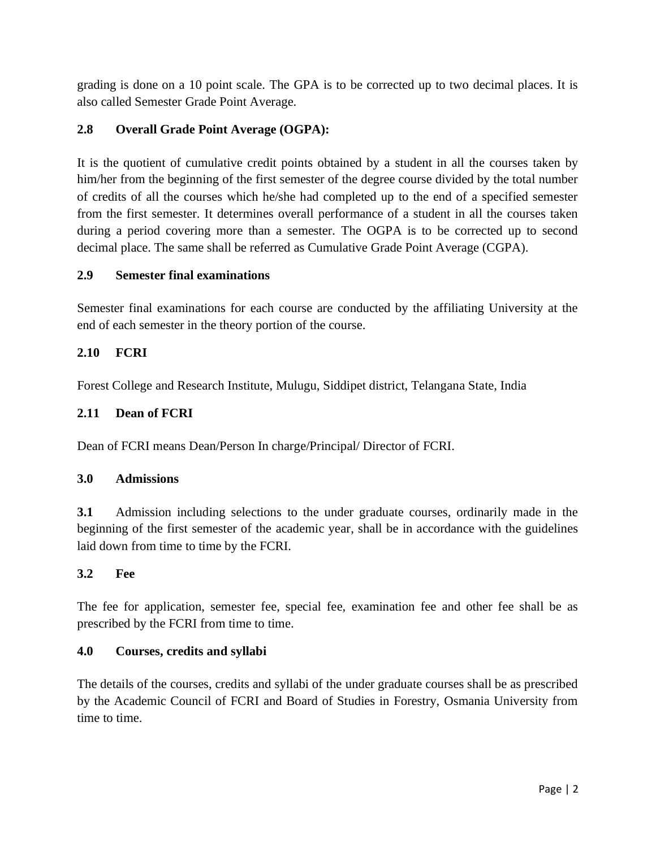grading is done on a 10 point scale. The GPA is to be corrected up to two decimal places. It is also called Semester Grade Point Average.

# **2.8 Overall Grade Point Average (OGPA):**

It is the quotient of cumulative credit points obtained by a student in all the courses taken by him/her from the beginning of the first semester of the degree course divided by the total number of credits of all the courses which he/she had completed up to the end of a specified semester from the first semester. It determines overall performance of a student in all the courses taken during a period covering more than a semester. The OGPA is to be corrected up to second decimal place. The same shall be referred as Cumulative Grade Point Average (CGPA).

### **2.9 Semester final examinations**

Semester final examinations for each course are conducted by the affiliating University at the end of each semester in the theory portion of the course.

### **2.10 FCRI**

Forest College and Research Institute, Mulugu, Siddipet district, Telangana State, India

### **2.11 Dean of FCRI**

Dean of FCRI means Dean/Person In charge/Principal/ Director of FCRI.

### **3.0 Admissions**

**3.1** Admission including selections to the under graduate courses, ordinarily made in the beginning of the first semester of the academic year, shall be in accordance with the guidelines laid down from time to time by the FCRI.

### **3.2 Fee**

The fee for application, semester fee, special fee, examination fee and other fee shall be as prescribed by the FCRI from time to time.

### **4.0 Courses, credits and syllabi**

The details of the courses, credits and syllabi of the under graduate courses shall be as prescribed by the Academic Council of FCRI and Board of Studies in Forestry, Osmania University from time to time.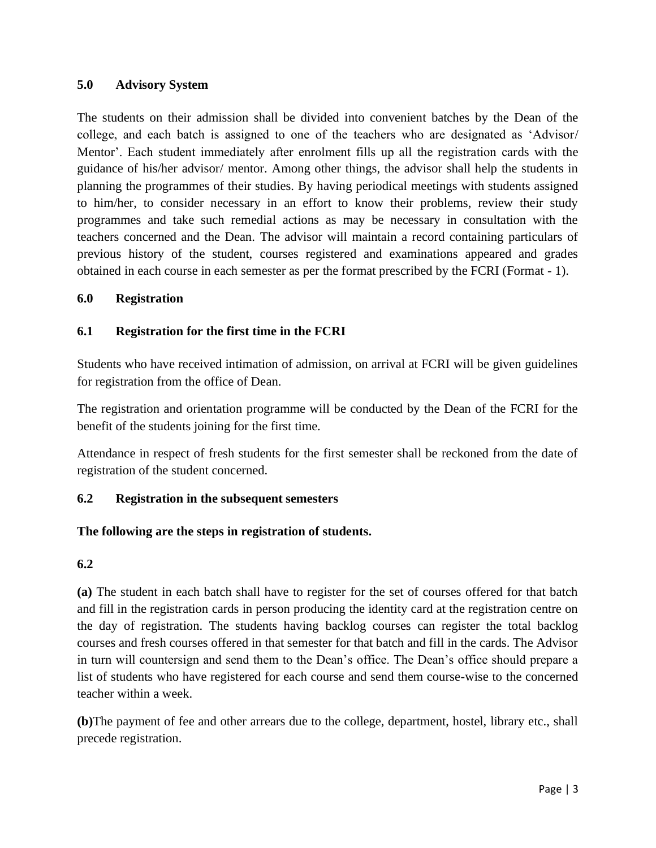### **5.0 Advisory System**

The students on their admission shall be divided into convenient batches by the Dean of the college, and each batch is assigned to one of the teachers who are designated as 'Advisor/ Mentor'. Each student immediately after enrolment fills up all the registration cards with the guidance of his/her advisor/ mentor. Among other things, the advisor shall help the students in planning the programmes of their studies. By having periodical meetings with students assigned to him/her, to consider necessary in an effort to know their problems, review their study programmes and take such remedial actions as may be necessary in consultation with the teachers concerned and the Dean. The advisor will maintain a record containing particulars of previous history of the student, courses registered and examinations appeared and grades obtained in each course in each semester as per the format prescribed by the FCRI (Format - 1).

### **6.0 Registration**

### **6.1 Registration for the first time in the FCRI**

Students who have received intimation of admission, on arrival at FCRI will be given guidelines for registration from the office of Dean.

The registration and orientation programme will be conducted by the Dean of the FCRI for the benefit of the students joining for the first time.

Attendance in respect of fresh students for the first semester shall be reckoned from the date of registration of the student concerned.

### **6.2 Registration in the subsequent semesters**

### **The following are the steps in registration of students.**

### **6.2**

**(a)** The student in each batch shall have to register for the set of courses offered for that batch and fill in the registration cards in person producing the identity card at the registration centre on the day of registration. The students having backlog courses can register the total backlog courses and fresh courses offered in that semester for that batch and fill in the cards. The Advisor in turn will countersign and send them to the Dean's office. The Dean's office should prepare a list of students who have registered for each course and send them course-wise to the concerned teacher within a week.

**(b)**The payment of fee and other arrears due to the college, department, hostel, library etc., shall precede registration.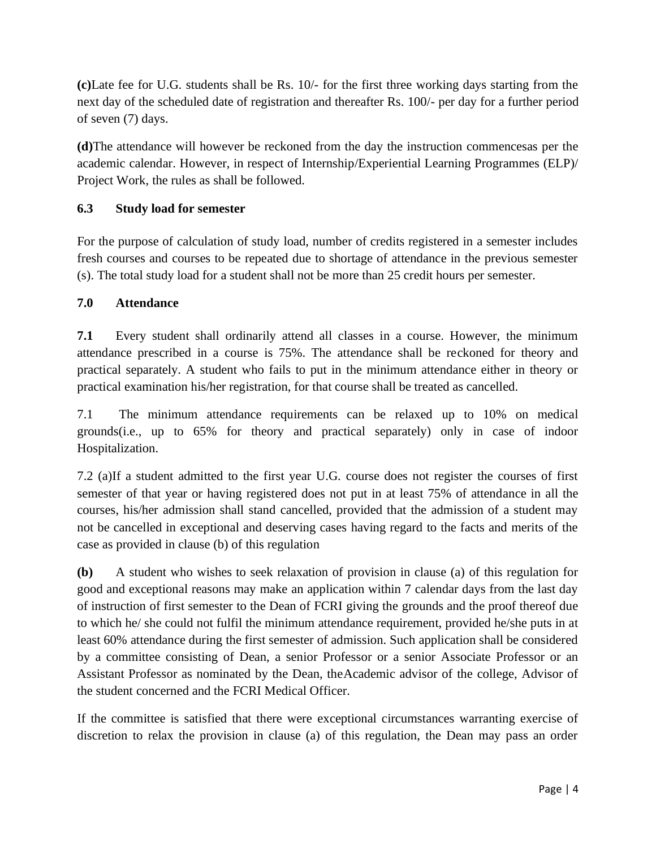**(c)**Late fee for U.G. students shall be Rs. 10/- for the first three working days starting from the next day of the scheduled date of registration and thereafter Rs. 100/- per day for a further period of seven (7) days.

**(d)**The attendance will however be reckoned from the day the instruction commencesas per the academic calendar. However, in respect of Internship/Experiential Learning Programmes (ELP)/ Project Work, the rules as shall be followed.

# **6.3 Study load for semester**

For the purpose of calculation of study load, number of credits registered in a semester includes fresh courses and courses to be repeated due to shortage of attendance in the previous semester (s). The total study load for a student shall not be more than 25 credit hours per semester.

### **7.0 Attendance**

**7.1** Every student shall ordinarily attend all classes in a course. However, the minimum attendance prescribed in a course is 75%. The attendance shall be reckoned for theory and practical separately. A student who fails to put in the minimum attendance either in theory or practical examination his/her registration, for that course shall be treated as cancelled.

7.1 The minimum attendance requirements can be relaxed up to 10% on medical grounds(i.e., up to 65% for theory and practical separately) only in case of indoor Hospitalization.

7.2 (a)If a student admitted to the first year U.G. course does not register the courses of first semester of that year or having registered does not put in at least 75% of attendance in all the courses, his/her admission shall stand cancelled, provided that the admission of a student may not be cancelled in exceptional and deserving cases having regard to the facts and merits of the case as provided in clause (b) of this regulation

**(b)** A student who wishes to seek relaxation of provision in clause (a) of this regulation for good and exceptional reasons may make an application within 7 calendar days from the last day of instruction of first semester to the Dean of FCRI giving the grounds and the proof thereof due to which he/ she could not fulfil the minimum attendance requirement, provided he/she puts in at least 60% attendance during the first semester of admission. Such application shall be considered by a committee consisting of Dean, a senior Professor or a senior Associate Professor or an Assistant Professor as nominated by the Dean, theAcademic advisor of the college, Advisor of the student concerned and the FCRI Medical Officer.

If the committee is satisfied that there were exceptional circumstances warranting exercise of discretion to relax the provision in clause (a) of this regulation, the Dean may pass an order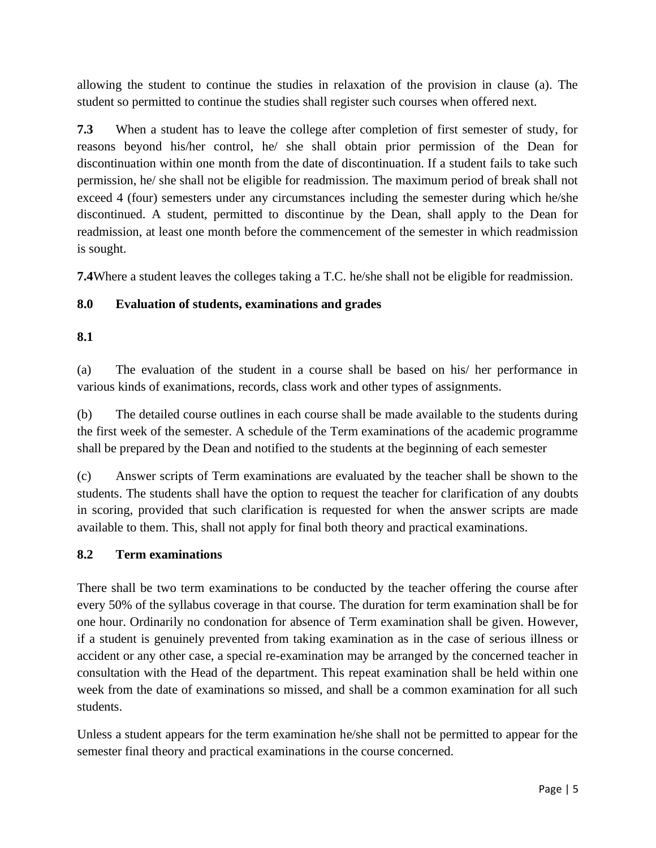allowing the student to continue the studies in relaxation of the provision in clause (a). The student so permitted to continue the studies shall register such courses when offered next.

**7.3** When a student has to leave the college after completion of first semester of study, for reasons beyond his/her control, he/ she shall obtain prior permission of the Dean for discontinuation within one month from the date of discontinuation. If a student fails to take such permission, he/ she shall not be eligible for readmission. The maximum period of break shall not exceed 4 (four) semesters under any circumstances including the semester during which he/she discontinued. A student, permitted to discontinue by the Dean, shall apply to the Dean for readmission, at least one month before the commencement of the semester in which readmission is sought.

**7.4**Where a student leaves the colleges taking a T.C. he/she shall not be eligible for readmission.

# **8.0 Evaluation of students, examinations and grades**

### **8.1**

(a) The evaluation of the student in a course shall be based on his/ her performance in various kinds of exanimations, records, class work and other types of assignments.

(b) The detailed course outlines in each course shall be made available to the students during the first week of the semester. A schedule of the Term examinations of the academic programme shall be prepared by the Dean and notified to the students at the beginning of each semester

(c) Answer scripts of Term examinations are evaluated by the teacher shall be shown to the students. The students shall have the option to request the teacher for clarification of any doubts in scoring, provided that such clarification is requested for when the answer scripts are made available to them. This, shall not apply for final both theory and practical examinations.

### **8.2 Term examinations**

There shall be two term examinations to be conducted by the teacher offering the course after every 50% of the syllabus coverage in that course. The duration for term examination shall be for one hour. Ordinarily no condonation for absence of Term examination shall be given. However, if a student is genuinely prevented from taking examination as in the case of serious illness or accident or any other case, a special re-examination may be arranged by the concerned teacher in consultation with the Head of the department. This repeat examination shall be held within one week from the date of examinations so missed, and shall be a common examination for all such students.

Unless a student appears for the term examination he/she shall not be permitted to appear for the semester final theory and practical examinations in the course concerned.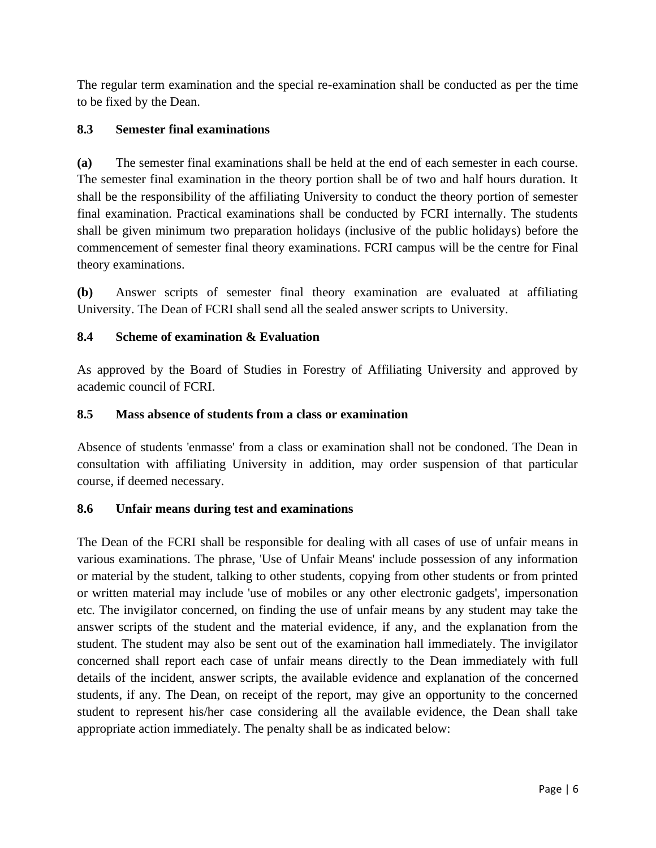The regular term examination and the special re-examination shall be conducted as per the time to be fixed by the Dean.

# **8.3 Semester final examinations**

**(a)** The semester final examinations shall be held at the end of each semester in each course. The semester final examination in the theory portion shall be of two and half hours duration. It shall be the responsibility of the affiliating University to conduct the theory portion of semester final examination. Practical examinations shall be conducted by FCRI internally. The students shall be given minimum two preparation holidays (inclusive of the public holidays) before the commencement of semester final theory examinations. FCRI campus will be the centre for Final theory examinations.

**(b)** Answer scripts of semester final theory examination are evaluated at affiliating University. The Dean of FCRI shall send all the sealed answer scripts to University.

# **8.4 Scheme of examination & Evaluation**

As approved by the Board of Studies in Forestry of Affiliating University and approved by academic council of FCRI.

### **8.5 Mass absence of students from a class or examination**

Absence of students 'enmasse' from a class or examination shall not be condoned. The Dean in consultation with affiliating University in addition, may order suspension of that particular course, if deemed necessary.

### **8.6 Unfair means during test and examinations**

The Dean of the FCRI shall be responsible for dealing with all cases of use of unfair means in various examinations. The phrase, 'Use of Unfair Means' include possession of any information or material by the student, talking to other students, copying from other students or from printed or written material may include 'use of mobiles or any other electronic gadgets', impersonation etc. The invigilator concerned, on finding the use of unfair means by any student may take the answer scripts of the student and the material evidence, if any, and the explanation from the student. The student may also be sent out of the examination hall immediately. The invigilator concerned shall report each case of unfair means directly to the Dean immediately with full details of the incident, answer scripts, the available evidence and explanation of the concerned students, if any. The Dean, on receipt of the report, may give an opportunity to the concerned student to represent his/her case considering all the available evidence, the Dean shall take appropriate action immediately. The penalty shall be as indicated below: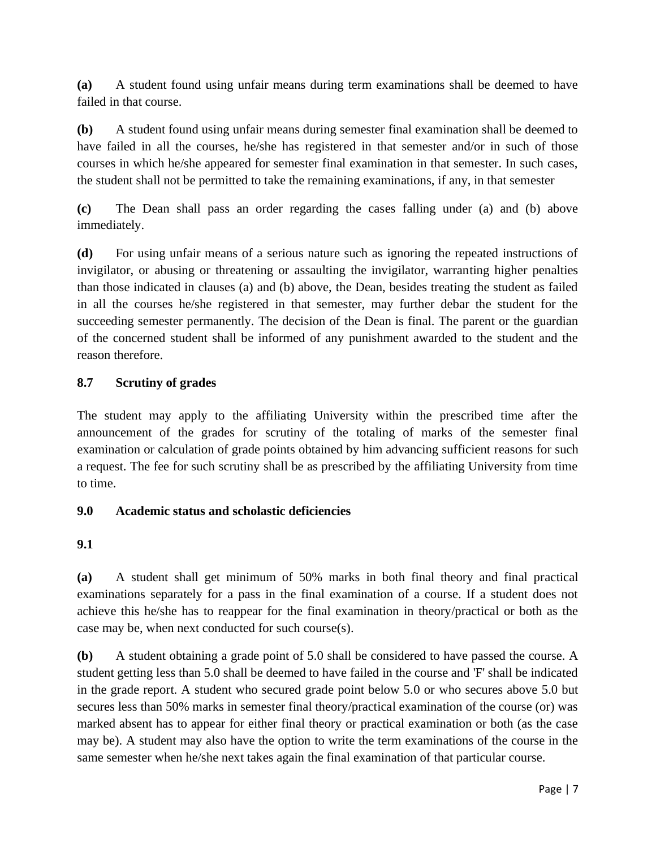**(a)** A student found using unfair means during term examinations shall be deemed to have failed in that course.

**(b)** A student found using unfair means during semester final examination shall be deemed to have failed in all the courses, he/she has registered in that semester and/or in such of those courses in which he/she appeared for semester final examination in that semester. In such cases, the student shall not be permitted to take the remaining examinations, if any, in that semester

**(c)** The Dean shall pass an order regarding the cases falling under (a) and (b) above immediately.

**(d)** For using unfair means of a serious nature such as ignoring the repeated instructions of invigilator, or abusing or threatening or assaulting the invigilator, warranting higher penalties than those indicated in clauses (a) and (b) above, the Dean, besides treating the student as failed in all the courses he/she registered in that semester, may further debar the student for the succeeding semester permanently. The decision of the Dean is final. The parent or the guardian of the concerned student shall be informed of any punishment awarded to the student and the reason therefore.

### **8.7 Scrutiny of grades**

The student may apply to the affiliating University within the prescribed time after the announcement of the grades for scrutiny of the totaling of marks of the semester final examination or calculation of grade points obtained by him advancing sufficient reasons for such a request. The fee for such scrutiny shall be as prescribed by the affiliating University from time to time.

### **9.0 Academic status and scholastic deficiencies**

### **9.1**

**(a)** A student shall get minimum of 50% marks in both final theory and final practical examinations separately for a pass in the final examination of a course. If a student does not achieve this he/she has to reappear for the final examination in theory/practical or both as the case may be, when next conducted for such course(s).

**(b)** A student obtaining a grade point of 5.0 shall be considered to have passed the course. A student getting less than 5.0 shall be deemed to have failed in the course and 'F' shall be indicated in the grade report. A student who secured grade point below 5.0 or who secures above 5.0 but secures less than 50% marks in semester final theory/practical examination of the course (or) was marked absent has to appear for either final theory or practical examination or both (as the case may be). A student may also have the option to write the term examinations of the course in the same semester when he/she next takes again the final examination of that particular course.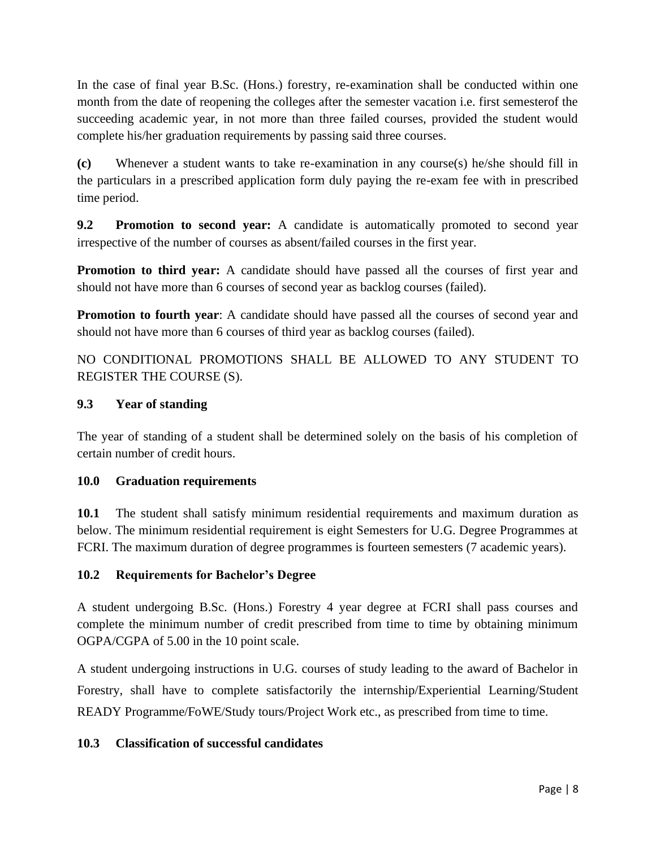In the case of final year B.Sc. (Hons.) forestry, re-examination shall be conducted within one month from the date of reopening the colleges after the semester vacation i.e. first semesterof the succeeding academic year, in not more than three failed courses, provided the student would complete his/her graduation requirements by passing said three courses.

**(c)** Whenever a student wants to take re-examination in any course(s) he/she should fill in the particulars in a prescribed application form duly paying the re-exam fee with in prescribed time period.

**9.2 Promotion to second year:** A candidate is automatically promoted to second year irrespective of the number of courses as absent/failed courses in the first year.

**Promotion to third year:** A candidate should have passed all the courses of first year and should not have more than 6 courses of second year as backlog courses (failed).

**Promotion to fourth year**: A candidate should have passed all the courses of second year and should not have more than 6 courses of third year as backlog courses (failed).

NO CONDITIONAL PROMOTIONS SHALL BE ALLOWED TO ANY STUDENT TO REGISTER THE COURSE (S).

### **9.3 Year of standing**

The year of standing of a student shall be determined solely on the basis of his completion of certain number of credit hours.

### **10.0 Graduation requirements**

**10.1** The student shall satisfy minimum residential requirements and maximum duration as below. The minimum residential requirement is eight Semesters for U.G. Degree Programmes at FCRI. The maximum duration of degree programmes is fourteen semesters (7 academic years).

### **10.2 Requirements for Bachelor's Degree**

A student undergoing B.Sc. (Hons.) Forestry 4 year degree at FCRI shall pass courses and complete the minimum number of credit prescribed from time to time by obtaining minimum OGPA/CGPA of 5.00 in the 10 point scale.

A student undergoing instructions in U.G. courses of study leading to the award of Bachelor in Forestry, shall have to complete satisfactorily the internship/Experiential Learning/Student READY Programme/FoWE/Study tours/Project Work etc., as prescribed from time to time.

### **10.3 Classification of successful candidates**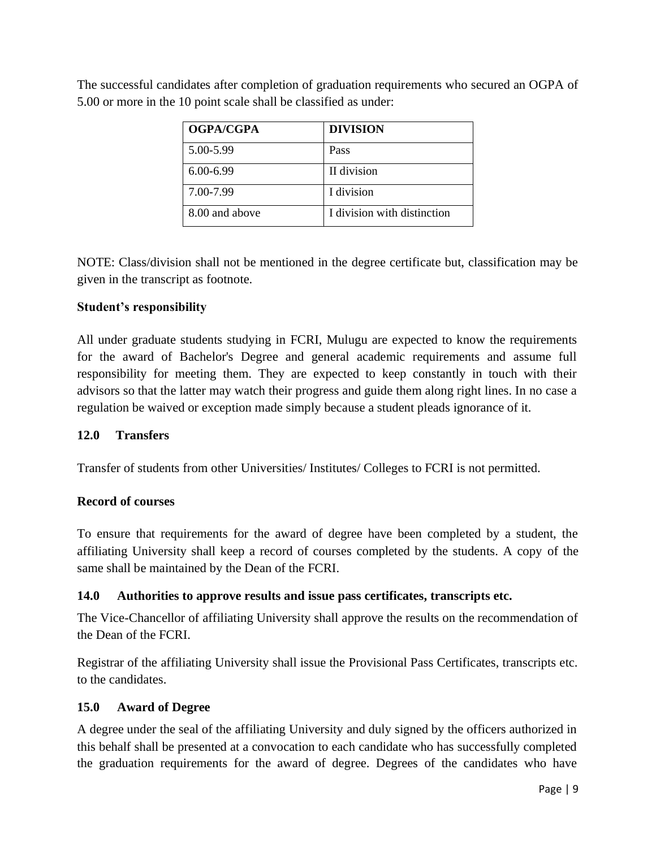| <b>OGPA/CGPA</b> | <b>DIVISION</b>             |
|------------------|-----------------------------|
| 5.00-5.99        | Pass                        |
| $6.00 - 6.99$    | II division                 |
| 7.00-7.99        | I division                  |
| 8.00 and above   | I division with distinction |

The successful candidates after completion of graduation requirements who secured an OGPA of 5.00 or more in the 10 point scale shall be classified as under:

NOTE: Class/division shall not be mentioned in the degree certificate but, classification may be given in the transcript as footnote.

# **Student's responsibility**

All under graduate students studying in FCRI, Mulugu are expected to know the requirements for the award of Bachelor's Degree and general academic requirements and assume full responsibility for meeting them. They are expected to keep constantly in touch with their advisors so that the latter may watch their progress and guide them along right lines. In no case a regulation be waived or exception made simply because a student pleads ignorance of it.

### **12.0 Transfers**

Transfer of students from other Universities/ Institutes/ Colleges to FCRI is not permitted.

### **Record of courses**

To ensure that requirements for the award of degree have been completed by a student, the affiliating University shall keep a record of courses completed by the students. A copy of the same shall be maintained by the Dean of the FCRI.

### **14.0 Authorities to approve results and issue pass certificates, transcripts etc.**

The Vice-Chancellor of affiliating University shall approve the results on the recommendation of the Dean of the FCRI.

Registrar of the affiliating University shall issue the Provisional Pass Certificates, transcripts etc. to the candidates.

### **15.0 Award of Degree**

A degree under the seal of the affiliating University and duly signed by the officers authorized in this behalf shall be presented at a convocation to each candidate who has successfully completed the graduation requirements for the award of degree. Degrees of the candidates who have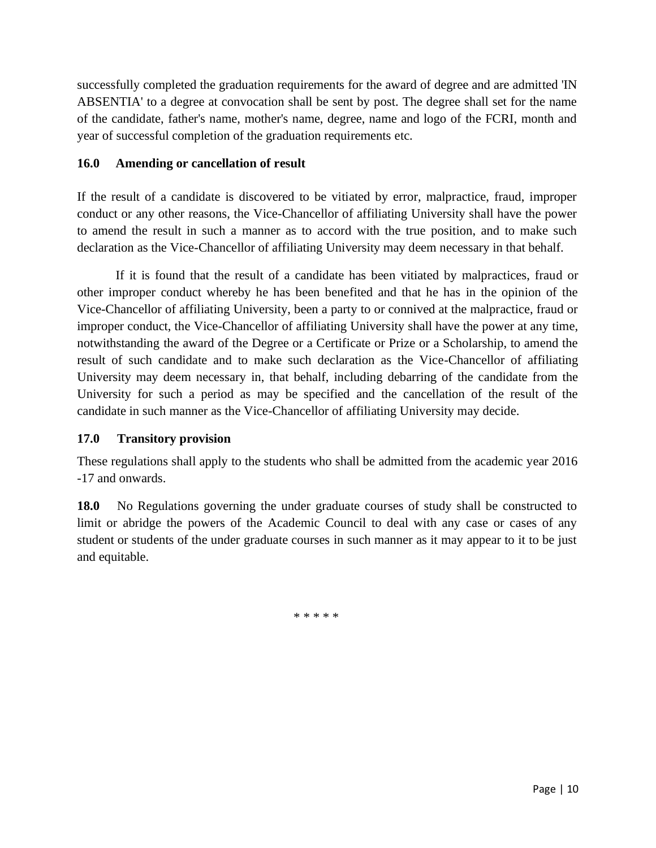successfully completed the graduation requirements for the award of degree and are admitted 'IN ABSENTIA' to a degree at convocation shall be sent by post. The degree shall set for the name of the candidate, father's name, mother's name, degree, name and logo of the FCRI, month and year of successful completion of the graduation requirements etc.

### **16.0 Amending or cancellation of result**

If the result of a candidate is discovered to be vitiated by error, malpractice, fraud, improper conduct or any other reasons, the Vice-Chancellor of affiliating University shall have the power to amend the result in such a manner as to accord with the true position, and to make such declaration as the Vice-Chancellor of affiliating University may deem necessary in that behalf.

If it is found that the result of a candidate has been vitiated by malpractices, fraud or other improper conduct whereby he has been benefited and that he has in the opinion of the Vice-Chancellor of affiliating University, been a party to or connived at the malpractice, fraud or improper conduct, the Vice-Chancellor of affiliating University shall have the power at any time, notwithstanding the award of the Degree or a Certificate or Prize or a Scholarship, to amend the result of such candidate and to make such declaration as the Vice-Chancellor of affiliating University may deem necessary in, that behalf, including debarring of the candidate from the University for such a period as may be specified and the cancellation of the result of the candidate in such manner as the Vice-Chancellor of affiliating University may decide.

# **17.0 Transitory provision**

These regulations shall apply to the students who shall be admitted from the academic year 2016 -17 and onwards.

**18.0** No Regulations governing the under graduate courses of study shall be constructed to limit or abridge the powers of the Academic Council to deal with any case or cases of any student or students of the under graduate courses in such manner as it may appear to it to be just and equitable.

\* \* \* \* \*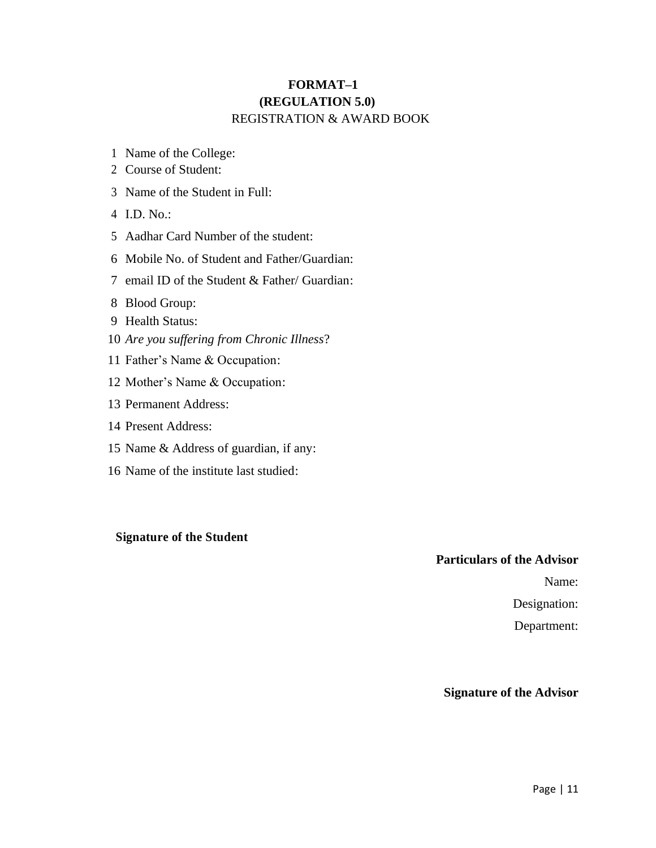# **FORMAT–1 (REGULATION 5.0)** REGISTRATION & AWARD BOOK

- Name of the College:
- Course of Student:
- Name of the Student in Full:
- I.D. No.:
- Aadhar Card Number of the student:
- Mobile No. of Student and Father/Guardian:
- email ID of the Student & Father/ Guardian:
- Blood Group:
- Health Status:
- *Are you suffering from Chronic Illness*?
- Father's Name & Occupation:
- Mother's Name & Occupation:
- Permanent Address:
- Present Address:
- Name & Address of guardian, if any:
- Name of the institute last studied:

### **Signature of the Student**

#### **Particulars of the Advisor**

Name:

Designation:

Department:

#### **Signature of the Advisor**